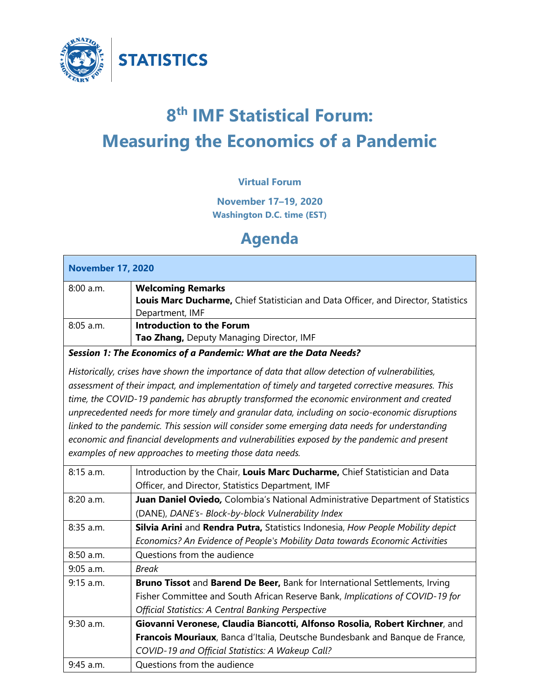

# **8th IMF Statistical Forum: Measuring the Economics of a Pandemic**

#### **Virtual Forum**

**November 17–19, 2020 Washington D.C. time (EST)**

## **Agenda**

| <b>November 17, 2020</b>                                                                        |                                                                                               |  |
|-------------------------------------------------------------------------------------------------|-----------------------------------------------------------------------------------------------|--|
| 8:00 a.m.                                                                                       | <b>Welcoming Remarks</b>                                                                      |  |
|                                                                                                 | Louis Marc Ducharme, Chief Statistician and Data Officer, and Director, Statistics            |  |
|                                                                                                 | Department, IMF                                                                               |  |
| 8:05 a.m.                                                                                       | <b>Introduction to the Forum</b>                                                              |  |
|                                                                                                 | Tao Zhang, Deputy Managing Director, IMF                                                      |  |
| Session 1: The Economics of a Pandemic: What are the Data Needs?                                |                                                                                               |  |
| Historically, crises have shown the importance of data that allow detection of vulnerabilities, |                                                                                               |  |
| assessment of their impact, and implementation of timely and targeted corrective measures. This |                                                                                               |  |
|                                                                                                 | time, the COVID-19 pandemic has abruptly transformed the economic environment and created     |  |
| unprecedented needs for more timely and granular data, including on socio-economic disruptions  |                                                                                               |  |
|                                                                                                 | linked to the pandemic. This session will consider some emerging data needs for understanding |  |
|                                                                                                 | economic and financial developments and vulnerabilities exposed by the pandemic and present   |  |
|                                                                                                 | examples of new approaches to meeting those data needs.                                       |  |
| 8:15 a.m.                                                                                       | Introduction by the Chair, Louis Marc Ducharme, Chief Statistician and Data                   |  |
|                                                                                                 | Officer, and Director, Statistics Department, IMF                                             |  |
| 8:20 a.m.                                                                                       | Juan Daniel Oviedo, Colombia's National Administrative Department of Statistics               |  |
|                                                                                                 | (DANE), DANE's- Block-by-block Vulnerability Index                                            |  |
| 8:35 a.m.                                                                                       | Silvia Arini and Rendra Putra, Statistics Indonesia, How People Mobility depict               |  |
|                                                                                                 | Economics? An Evidence of People's Mobility Data towards Economic Activities                  |  |
| 8:50 a.m.                                                                                       | Questions from the audience                                                                   |  |
| $9:05$ a.m.                                                                                     | <b>Break</b>                                                                                  |  |
| $9:15$ a.m.                                                                                     | Bruno Tissot and Barend De Beer, Bank for International Settlements, Irving                   |  |
|                                                                                                 | Fisher Committee and South African Reserve Bank, Implications of COVID-19 for                 |  |
|                                                                                                 | <b>Official Statistics: A Central Banking Perspective</b>                                     |  |
| 9:30 a.m.                                                                                       | Giovanni Veronese, Claudia Biancotti, Alfonso Rosolia, Robert Kirchner, and                   |  |
|                                                                                                 | Francois Mouriaux, Banca d'Italia, Deutsche Bundesbank and Banque de France,                  |  |
|                                                                                                 | COVID-19 and Official Statistics: A Wakeup Call?                                              |  |
| 9:45 a.m.                                                                                       | Questions from the audience                                                                   |  |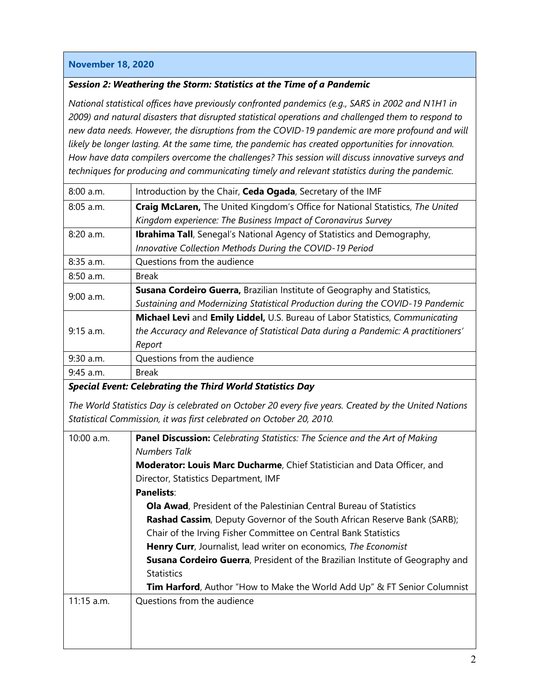#### **November 18, 2020**

#### *Session 2: Weathering the Storm: Statistics at the Time of a Pandemic*

*National statistical offices have previously confronted pandemics (e.g., SARS in 2002 and N1H1 in 2009) and natural disasters that disrupted statistical operations and challenged them to respond to new data needs. However, the disruptions from the COVID-19 pandemic are more profound and will likely be longer lasting. At the same time, the pandemic has created opportunities for innovation. How have data compilers overcome the challenges? This session will discuss innovative surveys and techniques for producing and communicating timely and relevant statistics during the pandemic.*

| 8:00 a.m.   | Introduction by the Chair, Ceda Ogada, Secretary of the IMF                        |
|-------------|------------------------------------------------------------------------------------|
| $8:05$ a.m. | Craig McLaren, The United Kingdom's Office for National Statistics, The United     |
|             | Kingdom experience: The Business Impact of Coronavirus Survey                      |
| 8:20 a.m.   | <b>Ibrahima Tall</b> , Senegal's National Agency of Statistics and Demography,     |
|             | Innovative Collection Methods During the COVID-19 Period                           |
| 8:35 a.m.   | Questions from the audience                                                        |
| $8:50$ a.m. | <b>Break</b>                                                                       |
| $9:00$ a.m. | Susana Cordeiro Guerra, Brazilian Institute of Geography and Statistics,           |
|             | Sustaining and Modernizing Statistical Production during the COVID-19 Pandemic     |
| $9:15$ a.m. | Michael Levi and Emily Liddel, U.S. Bureau of Labor Statistics, Communicating      |
|             | the Accuracy and Relevance of Statistical Data during a Pandemic: A practitioners' |
|             | Report                                                                             |
| 9:30 a.m.   | Questions from the audience                                                        |
| 9:45 a.m.   | <b>Break</b>                                                                       |

#### *Special Event: Celebrating the Third World Statistics Day*

*The World Statistics Day is celebrated on October 20 every five years. Created by the United Nations Statistical Commission, it was first celebrated on October 20, 2010.*

| 10:00 a.m.   | <b>Panel Discussion:</b> Celebrating Statistics: The Science and the Art of Making<br><b>Numbers Talk</b> |
|--------------|-----------------------------------------------------------------------------------------------------------|
|              |                                                                                                           |
|              | Moderator: Louis Marc Ducharme, Chief Statistician and Data Officer, and                                  |
|              | Director, Statistics Department, IMF                                                                      |
|              | <b>Panelists:</b>                                                                                         |
|              | <b>Ola Awad</b> , President of the Palestinian Central Bureau of Statistics                               |
|              | <b>Rashad Cassim</b> , Deputy Governor of the South African Reserve Bank (SARB);                          |
|              | Chair of the Irving Fisher Committee on Central Bank Statistics                                           |
|              | <b>Henry Curr</b> , Journalist, lead writer on economics, The Economist                                   |
|              | <b>Susana Cordeiro Guerra, President of the Brazilian Institute of Geography and</b>                      |
|              | <b>Statistics</b>                                                                                         |
|              | <b>Tim Harford</b> , Author "How to Make the World Add Up" & FT Senior Columnist                          |
| $11:15$ a.m. | Questions from the audience                                                                               |
|              |                                                                                                           |
|              |                                                                                                           |
|              |                                                                                                           |
|              |                                                                                                           |